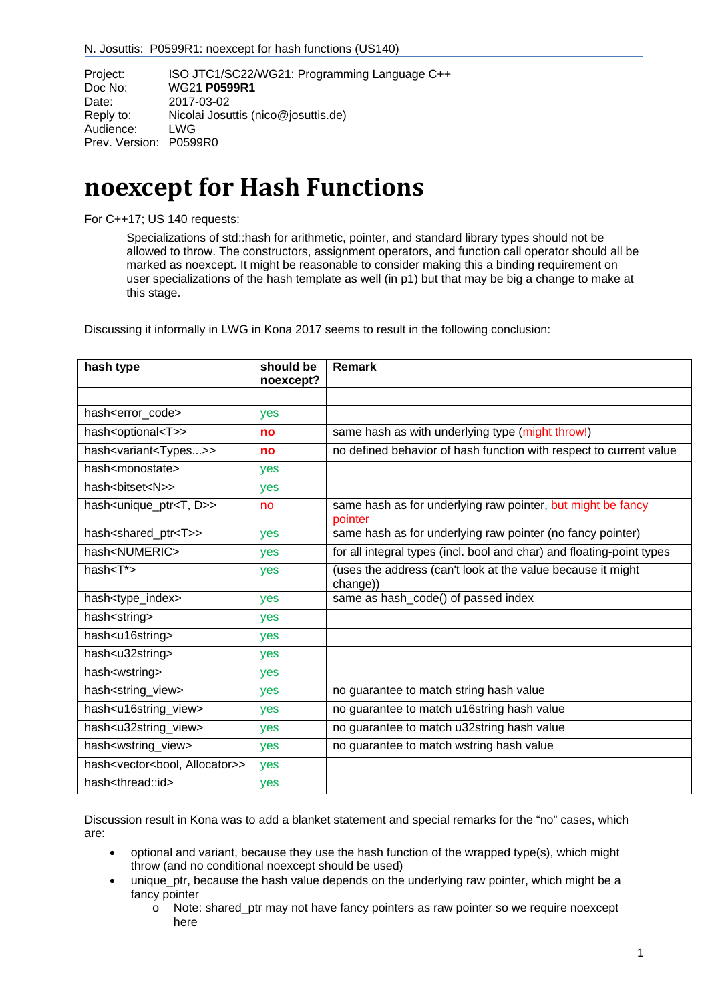| Project:               | ISO JTC1/SC22/WG21: Programming Language C++ |  |
|------------------------|----------------------------------------------|--|
| Doc No:                | WG21 P0599R1                                 |  |
| Date:                  | 2017-03-02                                   |  |
| Reply to:              | Nicolai Josuttis (nico@josuttis.de)          |  |
| Audience:              | LWG                                          |  |
| Prev. Version: P0599R0 |                                              |  |
|                        |                                              |  |

# **noexcept for Hash Functions**

For C++17; US 140 requests:

Specializations of std::hash for arithmetic, pointer, and standard library types should not be allowed to throw. The constructors, assignment operators, and function call operator should all be marked as noexcept. It might be reasonable to consider making this a binding requirement on user specializations of the hash template as well (in p1) but that may be big a change to make at this stage.

Discussing it informally in LWG in Kona 2017 seems to result in the following conclusion:

| hash type                                           | should be<br>noexcept? | <b>Remark</b>                                                           |
|-----------------------------------------------------|------------------------|-------------------------------------------------------------------------|
|                                                     |                        |                                                                         |
| hash <error code=""></error>                        | yes                    |                                                                         |
| hash <optional<t>&gt;</optional<t>                  | no                     | same hash as with underlying type (might throw!)                        |
| hash <variant<types>&gt;</variant<types>            | no                     | no defined behavior of hash function with respect to current value      |
| hash <monostate></monostate>                        | yes                    |                                                                         |
| hash<br>bitset <n>&gt;</n>                          | yes                    |                                                                         |
| hash <unique_ptr<t, d="">&gt;</unique_ptr<t,>       | no                     | same hash as for underlying raw pointer, but might be fancy<br>pointer  |
| hash <shared_ptr<t>&gt;</shared_ptr<t>              | yes                    | same hash as for underlying raw pointer (no fancy pointer)              |
| hash <numeric></numeric>                            | yes                    | for all integral types (incl. bool and char) and floating-point types   |
| hash $<$ T* $>$                                     | yes                    | (uses the address (can't look at the value because it might<br>change)) |
| hash <type_index></type_index>                      | yes                    | same as hash_code() of passed index                                     |
| hash <string></string>                              | yes                    |                                                                         |
| hash <u16string></u16string>                        | yes                    |                                                                         |
| hash <u32string></u32string>                        | yes                    |                                                                         |
| hash <wstring></wstring>                            | yes                    |                                                                         |
| hash <string_view></string_view>                    | yes                    | no guarantee to match string hash value                                 |
| hash <u16string_view></u16string_view>              | yes                    | no guarantee to match u16string hash value                              |
| hash <u32string_view></u32string_view>              | yes                    | no guarantee to match u32string hash value                              |
| hash <wstring_view></wstring_view>                  | yes                    | no guarantee to match wstring hash value                                |
| hash <vector<bool, allocator="">&gt;</vector<bool,> | yes                    |                                                                         |
| hash <thread::id></thread::id>                      | yes                    |                                                                         |

Discussion result in Kona was to add a blanket statement and special remarks for the "no" cases, which are:

- optional and variant, because they use the hash function of the wrapped type(s), which might throw (and no conditional noexcept should be used)
- unique ptr, because the hash value depends on the underlying raw pointer, which might be a fancy pointer
	- $\circ$  Note: shared ptr may not have fancy pointers as raw pointer so we require noexcept here